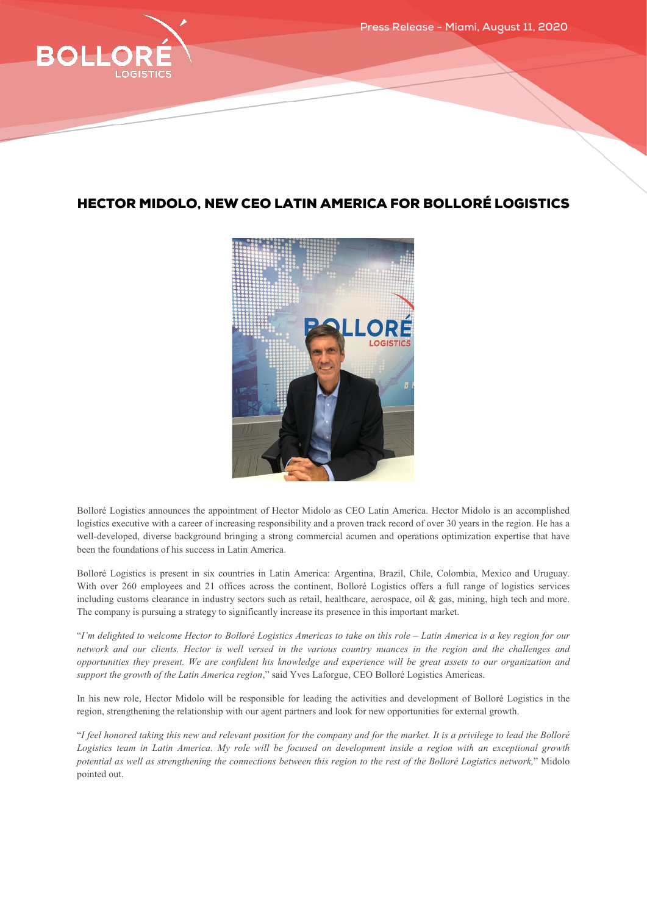

## HECTOR MIDOLO, NEW CEO LATIN AMERICA FOR BOLLORÉ LOGISTICS



Bolloré Logistics announces the appointment of Hector Midolo as CEO Latin America. Hector Midolo is an accomplished logistics executive with a career of increasing responsibility and a proven track record of over 30 years in the region. He has a well-developed, diverse background bringing a strong commercial acumen and operations optimization expertise that have been the foundations of his success in Latin America.

Bolloré Logistics is present in six countries in Latin America: Argentina, Brazil, Chile, Colombia, Mexico and Uruguay. With over 260 employees and 21 offices across the continent, Bolloré Logistics offers a full range of logistics services including customs clearance in industry sectors such as retail, healthcare, aerospace, oil & gas, mining, high tech and more. The company is pursuing a strategy to significantly increase its presence in this important market.

"*I'm delighted to welcome Hector to Bolloré Logistics Americas to take on this role – Latin America is a key region for our network and our clients. Hector is well versed in the various country nuances in the region and the challenges and opportunities they present. We are confident his knowledge and experience will be great assets to our organization and support the growth of the Latin America region*," said Yves Laforgue, CEO Bolloré Logistics Americas.

In his new role, Hector Midolo will be responsible for leading the activities and development of Bolloré Logistics in the region, strengthening the relationship with our agent partners and look for new opportunities for external growth.

"*I feel honored taking this new and relevant position for the company and for the market. It is a privilege to lead the Bolloré Logistics team in Latin America. My role will be focused on development inside a region with an exceptional growth potential as well as strengthening the connections between this region to the rest of the Bolloré Logistics network,*" Midolo pointed out.